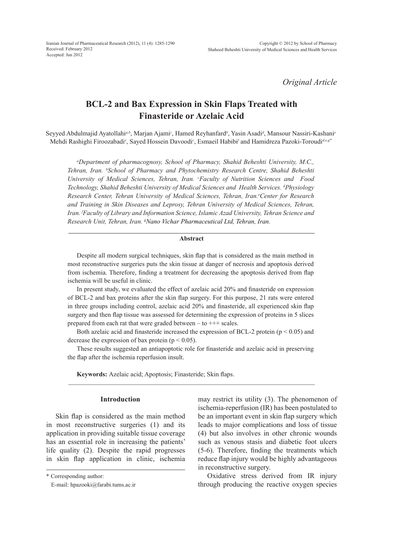*Original Article*

# **BCL-2 and Bax Expression in Skin Flaps Treated with Finasteride or Azelaic Acid**

Seyyed Abdulmajid Ayatollahi<sup>a,b</sup>, Marjan Ajami<sup>c</sup>, Hamed Reyhanfard<sup>b</sup>, Yasin Asadi<sup>d</sup>, Mansour Nassiri-Kashani<sup>e</sup> Mehdi Rashighi Firoozabadi<sup>e</sup>, Sayed Hossein Davoodi<sup>c</sup>, Esmaeil Habibi<sup>*f*</sup> and Hamidreza Pazoki-Toroudi<sup>d,e,g\*</sup>

*a Department of pharmacognosy, School of Pharmacy, Shahid Beheshti University, M.C., Tehran, Iran. b School of Pharmacy and Phytochemistry Research Centre, Shahid Beheshti University of Medical Sciences, Tehran, Iran. c Faculty of Nutrition Sciences and Food*  Technology, Shahid Beheshti University of Medical Sciences and Health Services. <sup>*d*</sup> Physiology Research Center, Tehran University of Medical Sciences, Tehran, Iran.<sup>e</sup>Center for Research *and Training in Skin Diseases and Leprosy, Tehran University of Medical Sciences, Tehran, Iran. f Faculty of Library and Information Science, Islamic Azad University, Tehran Science and Research Unit, Tehran, Iran. g Nano Vichar Pharmaceutical Ltd, Tehran, Iran.*

### **Abstract**

Despite all modern surgical techniques, skin flap that is considered as the main method in most reconstructive surgeries puts the skin tissue at danger of necrosis and apoptosis derived from ischemia. Therefore, finding a treatment for decreasing the apoptosis derived from flap ischemia will be useful in clinic.

In present study, we evaluated the effect of azelaic acid 20% and finasteride on expression of BCL-2 and bax proteins after the skin flap surgery. For this purpose, 21 rats were entered in three groups including control, azelaic acid 20% and finasteride, all experienced skin flap surgery and then flap tissue was assessed for determining the expression of proteins in 5 slices prepared from each rat that were graded between  $-$  to  $+++$  scales.

Both azelaic acid and finasteride increased the expression of BCL-2 protein ( $p < 0.05$ ) and decrease the expression of bax protein ( $p < 0.05$ ).

These results suggested an antiapoptotic role for finasteride and azelaic acid in preserving the flap after the ischemia reperfusion insult.

**Keywords:** Azelaic acid; Apoptosis; Finasteride; Skin flaps.

### **Introduction**

Skin flap is considered as the main method in most reconstructive surgeries (1) and its application in providing suitable tissue coverage has an essential role in increasing the patients' life quality (2). Despite the rapid progresses in skin flap application in clinic, ischemia

\* Corresponding author:

may restrict its utility (3). The phenomenon of ischemia-reperfusion (IR) has been postulated to be an important event in skin flap surgery which leads to major complications and loss of tissue (4) but also involves in other chronic wounds such as venous stasis and diabetic foot ulcers (5-6). Therefore, finding the treatments which reduce flap injury would be highly advantageous in reconstructive surgery.

Oxidative stress derived from IR injury through producing the reactive oxygen species

E-mail: hpazooki@farabi.tums.ac.ir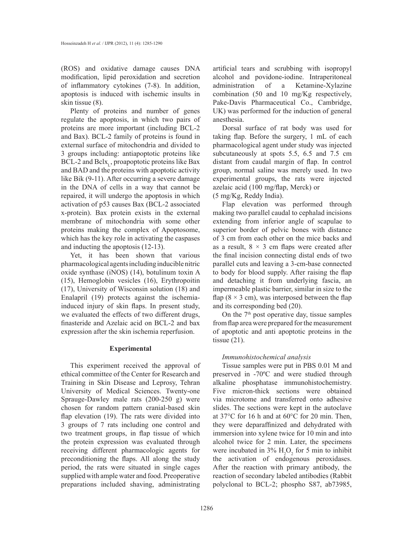(ROS) and oxidative damage causes DNA modification, lipid peroxidation and secretion of inflammatory cytokines (7-8). In addition, apoptosis is induced with ischemic insults in skin tissue (8).

Plenty of proteins and number of genes regulate the apoptosis, in which two pairs of proteins are more important (including BCL-2 and Bax). BCL-2 family of proteins is found in external surface of mitochondria and divided to 3 groups including: antiapoptotic proteins like  $BCL-2$  and  $Bclx<sub>L</sub>$ , proapoptotic proteins like Bax and BAD and the proteins with apoptotic activity like Bik (9-11). After occurring a severe damage in the DNA of cells in a way that cannot be repaired, it will undergo the apoptosis in which activation of p53 causes Bax (BCL-2 associated x-protein). Bax protein exists in the external membrane of mitochondria with some other proteins making the complex of Apoptosome, which has the key role in activating the caspases and inducting the apoptosis (12-13).

Yet, it has been shown that various pharmacological agents including inducible nitric oxide synthase (iNOS) (14), botulinum toxin A (15), Hemoglobin vesicles (16), Erythropoitin (17), University of Wisconsin solution (18) and Enalapril (19) protects against the ischemiainduced injury of skin flaps. In present study, we evaluated the effects of two different drugs, finasteride and Azelaic acid on BCL-2 and bax expression after the skin ischemia reperfusion.

# **Experimental**

This experiment received the approval of ethical committee of the Center for Research and Training in Skin Disease and Leprosy, Tehran University of Medical Sciences. Twenty-one Sprauge-Dawley male rats (200-250 g) were chosen for random pattern cranial-based skin flap elevation (19). The rats were divided into 3 groups of 7 rats including one control and two treatment groups, in flap tissue of which the protein expression was evaluated through receiving different pharmacologic agents for preconditioning the flaps. All along the study period, the rats were situated in single cages supplied with ample water and food. Preoperative preparations included shaving, administrating

artificial tears and scrubbing with isopropyl alcohol and povidone-iodine. Intraperitoneal administration of a Ketamine-Xylazine combination (50 and 10 mg/Kg respectively, Pake-Davis Pharmaceutical Co., Cambridge, UK) was performed for the induction of general anesthesia.

Dorsal surface of rat body was used for taking flap. Before the surgery, 1 mL of each pharmacological agent under study was injected subcutaneously at spots 5.5, 6.5 and 7.5 cm distant from caudal margin of flap. In control group, normal saline was merely used. In two experimental groups, the rats were injected azelaic acid (100 mg/flap, Merck) or (5 mg/Kg, Reddy India).

Flap elevation was performed through making two parallel caudal to cephalad incisions extending from inferior angle of scapulae to superior border of pelvic bones with distance of 3 cm from each other on the mice backs and as a result,  $8 \times 3$  cm flaps were created after the final incision connecting distal ends of two parallel cuts and leaving a 3-cm-base connected to body for blood supply. After raising the flap and detaching it from underlying fascia, an impermeable plastic barrier, similar in size to the flap ( $8 \times 3$  cm), was interposed between the flap and its corresponding bed (20).

On the 7<sup>th</sup> post operative day, tissue samples from flap area were prepared for the measurement of apoptotic and anti apoptotic proteins in the tissue  $(21)$ .

# *Immunohistochemical analysis*

Tissue samples were put in PBS 0.01 M and preserved in -70ºC and were studied through alkaline phosphatase immunohistochemistry. Five micron-thick sections were obtained via microtome and transferred onto adhesive slides. The sections were kept in the autoclave at 37°C for 16 h and at 60°C for 20 min. Then, they were deparaffinized and dehydrated with immersion into xylene twice for 10 min and into alcohol twice for 2 min. Later, the specimens were incubated in  $3\%$  H<sub>2</sub>O<sub>2</sub> for 5 min to inhibit the activation of endogenous peroxidases. After the reaction with primary antibody, the reaction of secondary labeled antibodies (Rabbit polyclonal to BCL-2; phospho S87, ab73985,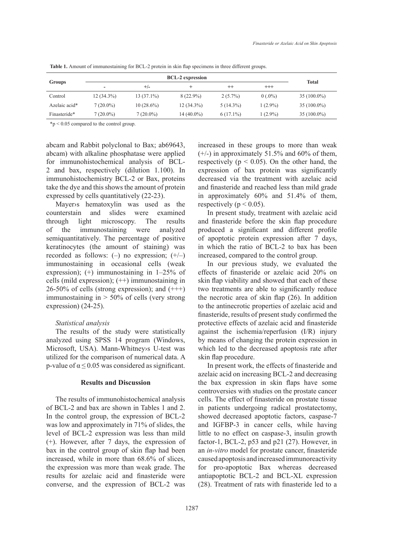| <b>Groups</b> |              |              |              |             |            |               |
|---------------|--------------|--------------|--------------|-------------|------------|---------------|
|               | -            | $+/-$        |              | $^{++}$     | $^{+++}$   | Total         |
| Control       | $12(34.3\%)$ | $13(37.1\%)$ | $8(22.9\%)$  | $2(5.7\%)$  | $0(.0\%)$  | $35(100.0\%)$ |
| Azelaic acid* | $7(20.0\%)$  | $10(28.6\%)$ | $12(34.3\%)$ | $5(14.3\%)$ | $1(2.9\%)$ | $35(100.0\%)$ |
| Finasteride*  | $7(20.0\%)$  | $7(20.0\%)$  | 14 (40.0%)   | $6(17.1\%)$ | $(2.9\%)$  | $35(100.0\%)$ |

**Table 1.** Amount of immunostaining for BCL-2 protein in skin flap specimens in three different groups.

\*p < 0.05 compared to the control group.

abcam and Rabbit polyclonal to Bax; ab69643, abcam) with alkaline phosphatase were applied for immunohistochemical analysis of BCL-2 and bax, respectively (dilution 1.100). In immunohistochemistry BCL-2 or Bax, proteins take the dye and this shows the amount of protein expressed by cells quantitatively (22-23).

Mayer›s hematoxylin was used as the counterstain and slides were examined through light microscopy. The results of the immunostaining were analyzed semiquantitatively. The percentage of positive keratinocytes (the amount of staining) was recorded as follows:  $(-)$  no expression;  $(+/-)$ immunostaining in occasional cells (weak expression); (+) immunostaining in 1–25% of cells (mild expression); (++) immunostaining in  $26-50\%$  of cells (strong expression); and  $(++)$ immunostaining in > 50% of cells (very strong expression) (24-25).

### *Statistical analysis*

The results of the study were statistically analyzed using SPSS 14 program (Windows, Microsoft, USA). Mann-Whitney›s U*-*test was utilized for the comparison of numerical data. A p-value of  $\alpha \le 0.05$  was considered as significant.

# **Results and Discussion**

The results of immunohistochemical analysis of BCL-2 and bax are shown in Tables 1 and 2. In the control group, the expression of BCL-2 was low and approximately in 71% of slides, the level of BCL-2 expression was less than mild (+). However, after 7 days, the expression of bax in the control group of skin flap had been increased, while in more than 68.6% of slices, the expression was more than weak grade. The results for azelaic acid and finasteride were converse, and the expression of BCL-2 was increased in these groups to more than weak  $(+/-)$  in approximately 51.5% and 60% of them, respectively ( $p < 0.05$ ). On the other hand, the expression of bax protein was significantly decreased via the treatment with azelaic acid and finasteride and reached less than mild grade in approximately 60% and 51.4% of them, respectively ( $p < 0.05$ ).

In present study, treatment with azelaic acid and finasteride before the skin flap procedure produced a significant and different profile of apoptotic protein expression after 7 days, in which the ratio of BCL-2 to bax has been increased, compared to the control group.

In our previous study, we evaluated the effects of finasteride or azelaic acid 20% on skin flap viability and showed that each of these two treatments are able to significantly reduce the necrotic area of skin flap (26). In addition to the antinecrotic properties of azelaic acid and finasteride, results of present study confirmed the protective effects of azelaic acid and finasteride against the ischemia/reperfusion (I/R) injury by means of changing the protein expression in which led to the decreased apoptosis rate after skin flap procedure.

In present work, the effects of finasteride and azelaic acid on increasing BCL-2 and decreasing the bax expression in skin flaps have some controversies with studies on the prostate cancer cells. The effect of finasteride on prostate tissue in patients undergoing radical prostatectomy, showed decreased apoptotic factors, caspase-7 and IGFBP-3 in cancer cells, while having little to no effect on caspase-3, insulin growth factor-1, BCL-2, p53 and p21 (27). However, in an *in-vitro* model for prostate cancer, finasteride caused apoptosis and increased immunoreactivity for pro-apoptotic Bax whereas decreased antiapoptotic BCL-2 and BCL-XL expression (28). Treatment of rats with finasteride led to a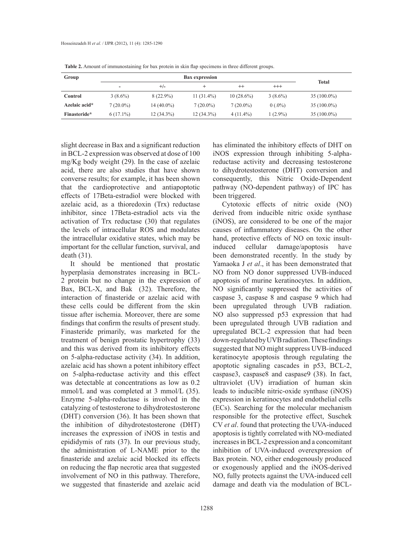| Group         |             | <b>Total</b> |              |              |            |               |
|---------------|-------------|--------------|--------------|--------------|------------|---------------|
|               | -           | $+/-$        |              | $^{++}$      | $^{+++}$   |               |
| Control       | $3(8.6\%)$  | $8(22.9\%)$  | $11(31.4\%)$ | $10(28.6\%)$ | $3(8.6\%)$ | $35(100.0\%)$ |
| Azelaic acid* | $7(20.0\%)$ | $14(40.0\%)$ | $7(20.0\%)$  | $7(20.0\%)$  | $0(.0\%)$  | $35(100.0\%)$ |
| Finasteride*  | $6(17.1\%)$ | $12(34.3\%)$ | $12(34.3\%)$ | $4(11.4\%)$  | $(2.9\%)$  | $35(100.0\%)$ |

**Table 2.** Amount of immunostaining for bax protein in skin flap specimens in three different groups.

slight decrease in Bax and a significant reduction in BCL-2 expression was observed at dose of 100 mg/Kg body weight (29). In the case of azelaic acid, there are also studies that have shown converse results; for example, it has been shown that the cardioprotective and antiapoptotic effects of 17Beta-estradiol were blocked with azelaic acid, as a thioredoxin (Trx) reductase inhibitor, since 17Beta-estradiol acts via the activation of Trx reductase (30) that regulates the levels of intracellular ROS and modulates the intracellular oxidative states, which may be important for the cellular function, survival, and death (31).

It should be mentioned that prostatic hyperplasia demonstrates increasing in BCL-2 protein but no change in the expression of Bax, BCL-X, and Bak (32). Therefore, the interaction of finasteride or azelaic acid with these cells could be different from the skin tissue after ischemia. Moreover, there are some findings that confirm the results of present study. Finasteride primarily, was marketed for the treatment of benign prostatic hypertrophy (33) and this was derived from its inhibitory effects on 5-alpha-reductase activity (34). In addition, azelaic acid has shown a potent inhibitory effect on 5-alpha-reductase activity and this effect was detectable at concentrations as low as 0.2 mmol/L and was completed at 3 mmol/L (35). Enzyme 5-alpha-reductase is involved in the catalyzing of testosterone to dihydrotestosterone (DHT) conversion (36). It has been shown that the inhibition of dihydrotestosterone (DHT) increases the expression of iNOS in testis and epididymis of rats (37). In our previous study, the administration of L-NAME prior to the finasteride and azelaic acid blocked its effects on reducing the flap necrotic area that suggested involvement of NO in this pathway. Therefore, we suggested that finasteride and azelaic acid

has eliminated the inhibitory effects of DHT on iNOS expression through inhibiting 5-alphareductase activity and decreasing testosterone to dihydrotestosterone (DHT) conversion and consequently, this Nitric Oxide-Dependent pathway (NO-dependent pathway) of IPC has been triggered.

Cytotoxic effects of nitric oxide (NO) derived from inducible nitric oxide synthase (iNOS), are considered to be one of the major causes of inflammatory diseases. On the other hand, protective effects of NO on toxic insultinduced cellular damage/apoptosis have been demonstrated recently. In the study by Yamaoka J *et al*., it has been demonstrated that NO from NO donor suppressed UVB-induced apoptosis of murine keratinocytes. In addition, NO significantly suppressed the activities of caspase 3, caspase 8 and caspase 9 which had been upregulated through UVB radiation. NO also suppressed p53 expression that had been upregulated through UVB radiation and upregulated BCL-2 expression that had been down-regulated by UVB radiation. These findings suggested that NO might suppress UVB-induced keratinocyte apoptosis through regulating the apoptotic signaling cascades in p53, BCL-2, caspase3, caspase8 and caspase9 (38). In fact, ultraviolet (UV) irradiation of human skin leads to inducible nitric-oxide synthase (iNOS) expression in keratinocytes and endothelial cells (ECs). Searching for the molecular mechanism responsible for the protective effect, Suschek CV *et al*. found that protecting the UVA-induced apoptosis is tightly correlated with NO-mediated increases in BCL-2 expression and a concomitant inhibition of UVA-induced overexpression of Bax protein. NO, either endogenously produced or exogenously applied and the iNOS-derived NO, fully protects against the UVA-induced cell damage and death via the modulation of BCL-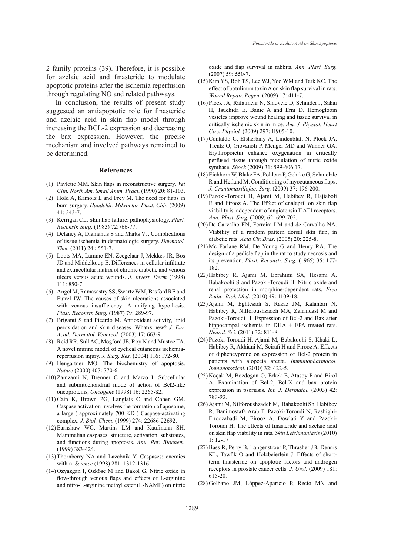2 family proteins (39). Therefore, it is possible for azelaic acid and finasteride to modulate apoptotic proteins after the ischemia reperfusion through regulating NO and related pathways.

In conclusion, the results of present study suggested an antiapoptotic role for finasteride and azelaic acid in skin flap model through increasing the BCL-2 expression and decreasing the bax expression. However, the precise mechanism and involved pathways remained to be determined.

#### **References**

- Pavletic MM. Skin flaps in reconstructive surgery. *Vet*  (1) *Clin. North Am. Small Anim. Pract*. (1990) 20: 81-103.
- $(2)$  Hold A, Kamolz L and Frey M. The need for flaps in burn surgery. *Handchir. Mikrochir. Plast. Chir.* (2009) 41: 343-7.
- (3) Kerrigan CL. Skin flap failure: pathophysiology. *Plast. Reconstr. Surg.* (1983) 72:766-77.
- Delaney A, Diamantis S and Marks VJ. Complications (4) of tissue ischemia in dermatologic surgery. *Dermatol. Ther.* (2011) 24 : 551-7.
- Loots MA, Lamme EN, Zeegelaar J, Mekkes JR, Bos (5) JD and Middelkoop E. Differences in cellular infiltrate and extracellular matrix of chronic diabetic and venous ulcers versus acute wounds. *J. Invest. Derm* (1998) 111: 850-7.
- Angel M, Ramasastry SS, Swartz WM, Basford RE and (6) Futrel JW. The causes of skin ulcerations associated with venous insufficiency: A unifying hypothesis. *Plast. Reconstr. Surg.* (1987) 79: 289-97.
- Briganti S and Picardo M. Antioxidant activity, lipid (7) peroxidation and skin diseases. What›s new? *J. Eur. Acad. Dermatol. Venereol.* (2003) 17: 663-9.
- Reid RR, Sull AC, Mogford JE, Roy N and Mustoe TA. (8) A novel murine model of cyclical cutaneous ischemiareperfusion injury. *J. Surg. Res.* (2004) 116: 172-80.
- (9) Hengartner MO. The biochemistry of apoptosis. *Nature* (2000) 407: 770-6.
- $(10)$  Zamzami N, Brenner C and Marzo I: Subcellular and submitochondrial mode of action of Bcl2-like oncoproteins, *Oncogene* (1998) 16: 2265-82.
- $(11)$  Cain K, Brown PG, Langlais C and Cohen GM. Caspase activation involves the formation of aposome, a large ( approximately 700 KD ) Caspase-activating complex. *J. Biol. Chem.* (1999) 274: 22686-22692.
- Earnshaw WC, Martins LM and Kaufmann SH. (12) Mammalian caspases: structure, activation, substrates, and functions during apoptosis. *Anu. Rev. Biochem.* (1999) 383-424.
- (13) Thornberry NA and Lazebnik Y. Caspases: enemies within. *Science* (1998) 281: 1312-1316
- (14) Ozyazgan I, Ozköse M and Bakol G. Nitric oxide in flow-through venous flaps and effects of L-arginine and nitro-L-arginine methyl ester (L-NAME) on nitric

oxide and flap survival in rabbits. *Ann. Plast. Surg.* (2007) 59: 550-7.

- $(15)$  Kim YS, Roh TS, Lee WJ, Yoo WM and Tark KC. The effect of botulinum toxin A on skin flap survival in rats. *Wound Repair. Regen.* (2009) 17: 411-7.
- (16) Plock JA, Rafatmehr N, Sinovcic D, Schnider J, Sakai H, Tsuchida E, Banic A and Erni D. Hemoglobin vesicles improve wound healing and tissue survival in critically ischemic skin in mice*. Am. J. Physiol. Heart Circ. Physiol.* (2009) 297: H905-10.
- (17) Contaldo C, Elsherbiny A, Lindenblatt N, Plock JA, Trentz O, Giovanoli P, Menger MD and Wanner GA. Erythropoietin enhance oxygenation in critically perfused tissue through modulation of nitric oxide synthase. *Shock* (2009) 31: 599-606 17.
- Eichhorn W, Blake FA, Pohlenz P, Gehrke G, Schmelzle (18) R and Heiland M. Conditioning of myocutaneous flaps. *J. Craniomaxillofac. Surg.* (2009) 37: 196-200.
- Pazoki-Toroudi H, Ajami M, Habibey R, Hajiaboli (19) E and Firooz A. The Effect of enalapril on skin flap viability is independent of angiotensin II AT1 receptors. *Ann. Plast. Surg.* (2009) 62: 699-702.
- $(20)$  De Carvalho EN, Ferreira LM and de Carvalho NA. Viability of a random pattern dorsal skin flap, in diabetic rats. *Acta Cir. Bras*. (2005) 20: 225-8.
- $(21)$  Mc Farlane RM, De Young G and Henry RA. The design of a pedicle flap in the rat to study necrosis and its prevention. *Plast. Reconstr. Surg.* (1965) 35: 177- 182.
- (22) Habibey R, Ajami M, Ebrahimi SA, Hesami A, Babakoohi S and Pazoki-Toroudi H. Nitric oxide and renal protection in morphine-dependent rats. *Free Radic. Biol. Med.* (2010) 49: 1109-18.
- Ajami M, Eghtesadi S, Razaz JM, Kalantari N, (23) Habibey R, Nilforoushzadeh MA, Zarrindast M and Pazoki-Toroudi H. Expression of Bcl-2 and Bax after hippocampal ischemia in DHA + EPA treated rats. *Neurol. Sci.* (2011) 32: 811-8.
- Pazoki-Toroudi H, Ajami M, Babakoohi S, Khaki L, (24) Habibey R, Akhiani M, Seirafi H and Firooz A. Effects of diphencyprone on expression of Bcl-2 protein in patients with alopecia areata. *Immunopharmacol. Immunotoxicol.* (2010) 32: 422-5.
- (25) Koçak M, Bozdogan O, Erkek E, Atasoy P and Birol A. Examination of Bcl-2, Bcl-X and bax protein expression in psoriasis. *Int. J. Dermatol.* (2003) 42: 789-93.
- (26) Ajami M, Nilforoushzadeh M, Babakoohi Sh, Habibey R, Banimostafa Arab F, Pazoki-Toroudi N, Rashighi-Firoozabadi M, Firooz A, Dowlati Y and Pazoki-Toroudi H. The effects of finasteride and azelaic acid on skin flap viability in rats. *Skin Leishmaniasis* (2010) 1: 12-17
- (27) Bass R, Perry B, Langenstroer P, Thrasher JB, Dennis KL, Tawfik O and Holzbeierlein J. Effects of shortterm finasteride on apoptotic factors and androgen receptors in prostate cancer cells. *J. Urol.* (2009) 181: 615-20.
- (28) Golbano JM, Lóppez-Aparicio P, Recio MN and